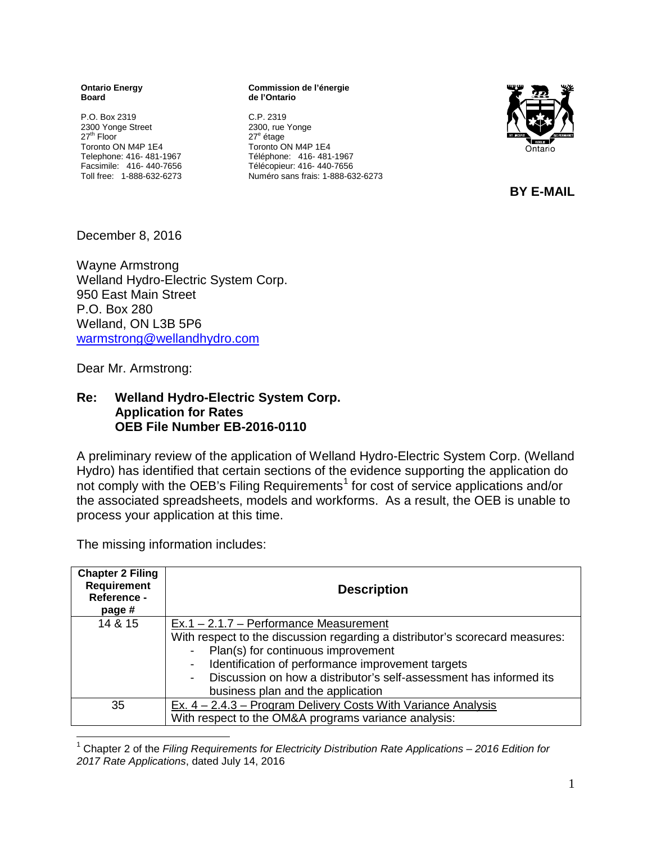**Ontario Energy Board**

P.O. Box 2319 2300 Yonge Street 27<sup>th</sup> Floor Toronto ON M4P 1E4 Telephone: 416- 481-1967 Facsimile: 416- 440-7656 Toll free: 1-888-632-6273

**Commission de l'énergie de l'Ontario**

C.P. 2319 2300, rue Yonge 27<sup>e</sup> étage Toronto ON M4P 1E4 Téléphone: 416- 481-1967 Télécopieur: 416- 440-7656 Numéro sans frais: 1-888-632-6273



 **BY E-MAIL** 

December 8, 2016

Wayne Armstrong Welland Hydro-Electric System Corp. 950 East Main Street P.O. Box 280 Welland, ON L3B 5P6 [warmstrong@wellandhydro.com](mailto:warmstrong@wellandhydro.com)

Dear Mr. Armstrong:

## **Re: Welland Hydro-Electric System Corp. Application for Rates OEB File Number EB-2016-0110**

A preliminary review of the application of Welland Hydro-Electric System Corp. (Welland Hydro) has identified that certain sections of the evidence supporting the application do not comply with the OEB's Filing Requirements<sup>[1](#page-0-0)</sup> for cost of service applications and/or the associated spreadsheets, models and workforms. As a result, the OEB is unable to process your application at this time.

The missing information includes:

| <b>Chapter 2 Filing</b><br><b>Requirement</b><br>Reference -<br>page # | <b>Description</b>                                                           |
|------------------------------------------------------------------------|------------------------------------------------------------------------------|
| 14 & 15                                                                | $Ex.1 - 2.1.7 - Performance Measurement$                                     |
|                                                                        | With respect to the discussion regarding a distributor's scorecard measures: |
|                                                                        | Plan(s) for continuous improvement<br>$\blacksquare$                         |
|                                                                        | Identification of performance improvement targets<br>-                       |
|                                                                        | Discussion on how a distributor's self-assessment has informed its           |
|                                                                        | business plan and the application                                            |
| 35                                                                     | Ex. $4 - 2.4.3 - Program$ Delivery Costs With Variance Analysis              |
|                                                                        | With respect to the OM&A programs variance analysis:                         |

<span id="page-0-0"></span> 1 Chapter 2 of the *Filing Requirements for Electricity Distribution Rate Applications – 2016 Edition for 2017 Rate Applications*, dated July 14, 2016